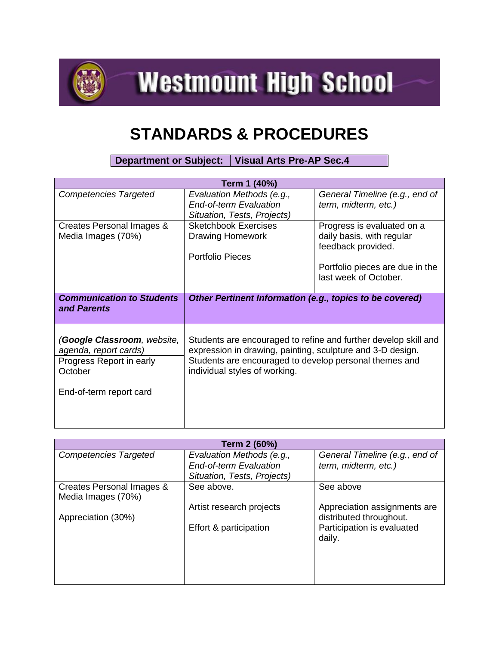

**Westmount High School** 

## **STANDARDS & PROCEDURES**

**Department or Subject: Visual Arts Pre-AP Sec.4**

| Term 1 (40%)                                                                                                           |                                                                                                                                                                                                                          |                                                                                                                                           |  |  |
|------------------------------------------------------------------------------------------------------------------------|--------------------------------------------------------------------------------------------------------------------------------------------------------------------------------------------------------------------------|-------------------------------------------------------------------------------------------------------------------------------------------|--|--|
| <b>Competencies Targeted</b>                                                                                           | Evaluation Methods (e.g.,<br><b>End-of-term Evaluation</b><br>Situation, Tests, Projects)                                                                                                                                | General Timeline (e.g., end of<br>term, midterm, etc.)                                                                                    |  |  |
| Creates Personal Images &<br>Media Images (70%)                                                                        | <b>Sketchbook Exercises</b><br><b>Drawing Homework</b><br><b>Portfolio Pieces</b>                                                                                                                                        | Progress is evaluated on a<br>daily basis, with regular<br>feedback provided.<br>Portfolio pieces are due in the<br>last week of October. |  |  |
| <b>Communication to Students</b><br>and Parents                                                                        | Other Pertinent Information (e.g., topics to be covered)                                                                                                                                                                 |                                                                                                                                           |  |  |
| (Google Classroom, website,<br>agenda, report cards)<br>Progress Report in early<br>October<br>End-of-term report card | Students are encouraged to refine and further develop skill and<br>expression in drawing, painting, sculpture and 3-D design.<br>Students are encouraged to develop personal themes and<br>individual styles of working. |                                                                                                                                           |  |  |

| Term 2 (60%)                 |                               |                                |  |
|------------------------------|-------------------------------|--------------------------------|--|
| <b>Competencies Targeted</b> | Evaluation Methods (e.g.,     | General Timeline (e.g., end of |  |
|                              | <b>End-of-term Evaluation</b> | term, midterm, etc.)           |  |
|                              | Situation, Tests, Projects)   |                                |  |
| Creates Personal Images &    | See above.                    | See above                      |  |
| Media Images (70%)           |                               |                                |  |
|                              | Artist research projects      | Appreciation assignments are   |  |
| Appreciation (30%)           |                               | distributed throughout.        |  |
|                              | Effort & participation        | Participation is evaluated     |  |
|                              |                               | daily.                         |  |
|                              |                               |                                |  |
|                              |                               |                                |  |
|                              |                               |                                |  |
|                              |                               |                                |  |